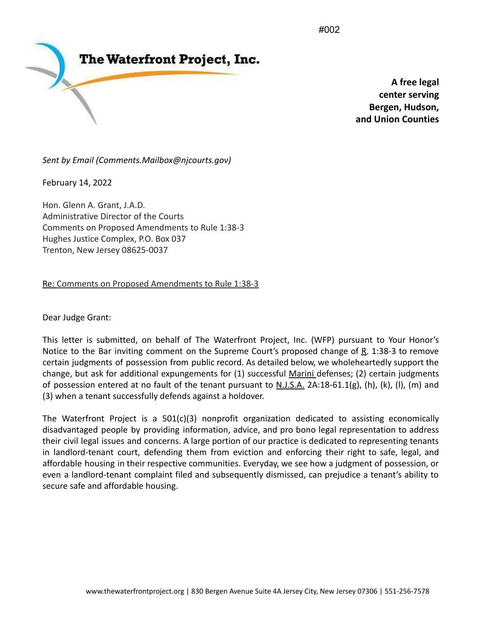#002



**A free legal center serving Bergen, Hudson, and Union Counties**

*Sent by Email (Comments.Mailbox@njcourts.gov)*

February 14, 2022

Hon. Glenn A. Grant, J.A.D. Administrative Director of the Courts Comments on Proposed Amendments to Rule 1:38-3 Hughes Justice Complex, P.O. Box 037 Trenton, New Jersey 08625-0037

Re: Comments on Proposed Amendments to Rule 1:38-3

Dear Judge Grant:

This letter is submitted, on behalf of The Waterfront Project, Inc. (WFP) pursuant to Your Honor's Notice to the Bar inviting comment on the Supreme Court's proposed change of  $R$ . 1:38-3 to remove certain judgments of possession from public record. As detailed below, we wholeheartedly support the change, but ask for additional expungements for (1) successful Marini defenses; (2) certain judgments of possession entered at no fault of the tenant pursuant to  $N.J.S.A.$  2A:18-61.1(g), (h), (k), (l), (m) and (3) when a tenant successfully defends against a holdover.

The Waterfront Project is a 501(c)(3) nonprofit organization dedicated to assisting economically disadvantaged people by providing information, advice, and pro bono legal representation to address their civil legal issues and concerns. A large portion of our practice is dedicated to representing tenants in landlord-tenant court, defending them from eviction and enforcing their right to safe, legal, and affordable housing in their respective communities. Everyday, we see how a judgment of possession, or even a landlord-tenant complaint filed and subsequently dismissed, can prejudice a tenant's ability to secure safe and affordable housing.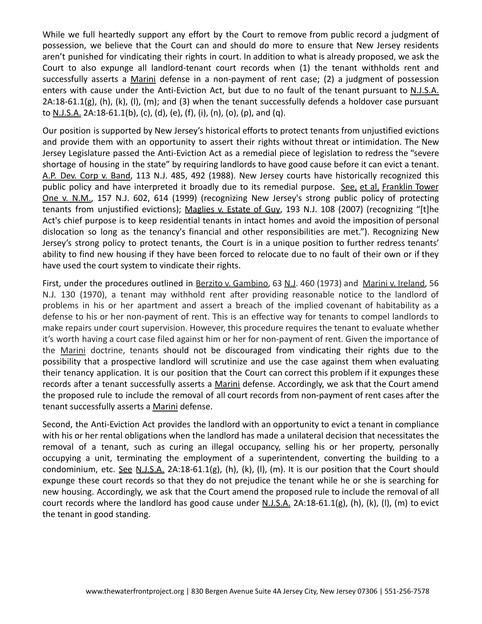While we full heartedly support any effort by the Court to remove from public record a judgment of possession, we believe that the Court can and should do more to ensure that New Jersey residents aren't punished for vindicating their rights in court. In addition to what is already proposed, we ask the Court to also expunge all landlord-tenant court records when (1) the tenant withholds rent and successfully asserts a Marini defense in a non-payment of rent case; (2) a judgment of possession enters with cause under the Anti-Eviction Act, but due to no fault of the tenant pursuant to N.J.S.A.  $2A:18-61.1(g)$ , (h), (k), (l), (m); and (3) when the tenant successfully defends a holdover case pursuant to N.J.S.A. 2A:18-61.1(b), (c), (d), (e), (f), (i), (n), (o), (p), and (q).

Our position is supported by New Jersey's historical efforts to protect tenants from unjustified evictions and provide them with an opportunity to assert their rights without threat or intimidation. The New Jersey Legislature passed the Anti-Eviction Act as a remedial piece of legislation to redress the "severe shortage of housing in the state" by requiring landlords to have good cause before it can evict a tenant. A.P. Dev. Corp v. Band, 113 N.J. 485, 492 (1988). New Jersey courts have historically recognized this public policy and have interpreted it broadly due to its remedial purpose. See, et al, Franklin Tower One v. N.M., 157 N.J. 602, 614 (1999) (recognizing New Jersey's strong public policy of protecting tenants from unjustified evictions); Maglies v. Estate of Guy, 193 N.J. 108 (2007) (recognizing "[t]he Act's chief purpose is to keep residential tenants in intact homes and avoid the imposition of personal dislocation so long as the tenancy's financial and other responsibilities are met."). Recognizing New Jersey's strong policy to protect tenants, the Court is in a unique position to further redress tenants' ability to find new housing if they have been forced to relocate due to no fault of their own or if they have used the court system to vindicate their rights.

First, under the procedures outlined in Berzito v. Gambino, 63 N.J. 460 (1973) and Marini v. Ireland, 56 N.J*.* 130 (1970), a tenant may withhold rent after providing reasonable notice to the landlord of problems in his or her apartment and assert a breach of the implied covenant of habitability as a defense to his or her non-payment of rent. This is an effective way for tenants to compel landlords to make repairs under court supervision. However, this procedure requires the tenant to evaluate whether it's worth having a court case filed against him or her for non-payment of rent. Given the importance of the Marini doctrine, tenants should not be discouraged from vindicating their rights due to the possibility that a prospective landlord will scrutinize and use the case against them when evaluating their tenancy application. It is our position that the Court can correct this problem if it expunges these records after a tenant successfully asserts a Marini defense. Accordingly, we ask that the Court amend the proposed rule to include the removal of all court records from non-payment of rent cases after the tenant successfully asserts a Marini defense.

Second, the Anti-Eviction Act provides the landlord with an opportunity to evict a tenant in compliance with his or her rental obligations when the landlord has made a unilateral decision that necessitates the removal of a tenant, such as curing an illegal occupancy, selling his or her property, personally occupying a unit, terminating the employment of a superintendent, converting the building to a condominium, etc. See N.J.S.A. 2A:18-61.1(g), (h), (k), (l), (m). It is our position that the Court should expunge these court records so that they do not prejudice the tenant while he or she is searching for new housing. Accordingly, we ask that the Court amend the proposed rule to include the removal of all court records where the landlord has good cause under  $N.J.S.A.$  2A:18-61.1(g), (h), (k), (l), (m) to evict the tenant in good standing.